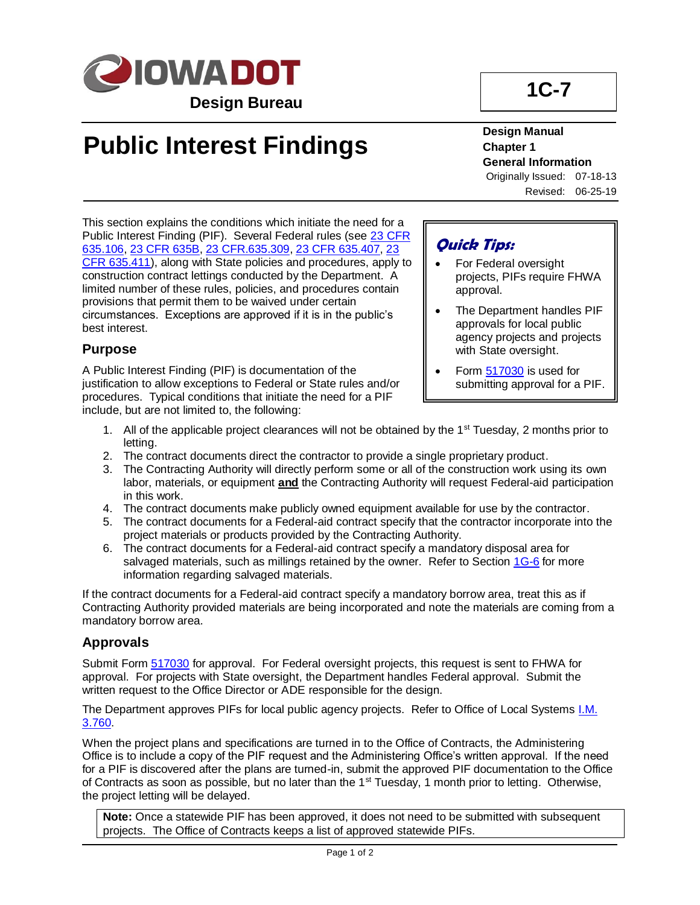

# **Public Interest Findings**

**1C-7**

#### **Design Manual Chapter 1 General Information** Originally Issued: 07-18-13

Revised: 06-25-19

This section explains the conditions which initiate the need for a Public Interest Finding (PIF). Several Federal rules (see [23 CFR](https://www.ecfr.gov/cgi-bin/text-idx?SID=31327344f382e213ba1fc1f615d5cf21&mc=true&node=se23.1.635_1106&rgn=div8)  [635.106,](https://www.ecfr.gov/cgi-bin/text-idx?SID=31327344f382e213ba1fc1f615d5cf21&mc=true&node=se23.1.635_1106&rgn=div8) [23 CFR 635B,](https://www.ecfr.gov/cgi-bin/text-idx?SID=31327344f382e213ba1fc1f615d5cf21&mc=true&node=sp23.1.635.b&rgn=div6) [23 CFR.635.309,](https://www.ecfr.gov/cgi-bin/text-idx?SID=31327344f382e213ba1fc1f615d5cf21&mc=true&node=se23.1.635_1309&rgn=div8) [23 CFR 635.407,](https://www.ecfr.gov/cgi-bin/text-idx?SID=31327344f382e213ba1fc1f615d5cf21&mc=true&node=se23.1.635_1407&rgn=div8) [23](https://www.ecfr.gov/cgi-bin/text-idx?SID=31327344f382e213ba1fc1f615d5cf21&mc=true&node=se23.1.635_1411&rgn=div8)  [CFR 635.411\)](https://www.ecfr.gov/cgi-bin/text-idx?SID=31327344f382e213ba1fc1f615d5cf21&mc=true&node=se23.1.635_1411&rgn=div8), along with State policies and procedures, apply to construction contract lettings conducted by the Department. A limited number of these rules, policies, and procedures contain provisions that permit them to be waived under certain circumstances. Exceptions are approved if it is in the public's best interest.

#### **Purpose**

A Public Interest Finding (PIF) is documentation of the justification to allow exceptions to Federal or State rules and/or procedures. Typical conditions that initiate the need for a PIF include, but are not limited to, the following:

#### **Quick Tips:**

- For Federal oversight projects, PIFs require FHWA approval.
- The Department handles PIF approvals for local public agency projects and projects with State oversight.
- Form [517030](https://forms.iowadot.gov/FormsMgt/External/517030.doc) is used for submitting approval for a PIF.
- 1. All of the applicable project clearances will not be obtained by the  $1<sup>st</sup>$  Tuesday, 2 months prior to letting.
- 2. The contract documents direct the contractor to provide a single proprietary product.
- 3. The Contracting Authority will directly perform some or all of the construction work using its own labor, materials, or equipment **and** the Contracting Authority will request Federal-aid participation in this work.
- 4. The contract documents make publicly owned equipment available for use by the contractor.
- 5. The contract documents for a Federal-aid contract specify that the contractor incorporate into the project materials or products provided by the Contracting Authority.
- 6. The contract documents for a Federal-aid contract specify a mandatory disposal area for salvaged materials, such as millings retained by the owner. Refer to Section [1G-6](01g-06.pdf) for more information regarding salvaged materials.

If the contract documents for a Federal-aid contract specify a mandatory borrow area, treat this as if Contracting Authority provided materials are being incorporated and note the materials are coming from a mandatory borrow area.

#### **Approvals**

Submit Form [517030](https://forms.iowadot.gov/FormsMgt/External/517030.doc) for approval. For Federal oversight projects, this request is sent to FHWA for approval. For projects with State oversight, the Department handles Federal approval. Submit the written request to the Office Director or ADE responsible for the design.

The Department approves PIFs for local public agency projects. Refer to Office of Local Systems *I.M.* [3.760.](../../local_systems/publications/im/5060.pdf?ver=2018-07-24-121230-597)

When the project plans and specifications are turned in to the Office of Contracts, the Administering Office is to include a copy of the PIF request and the Administering Office's written approval. If the need for a PIF is discovered after the plans are turned-in, submit the approved PIF documentation to the Office of Contracts as soon as possible, but no later than the 1<sup>st</sup> Tuesday, 1 month prior to letting. Otherwise, the project letting will be delayed.

**Note:** Once a statewide PIF has been approved, it does not need to be submitted with subsequent projects. The Office of Contracts keeps a list of approved statewide PIFs.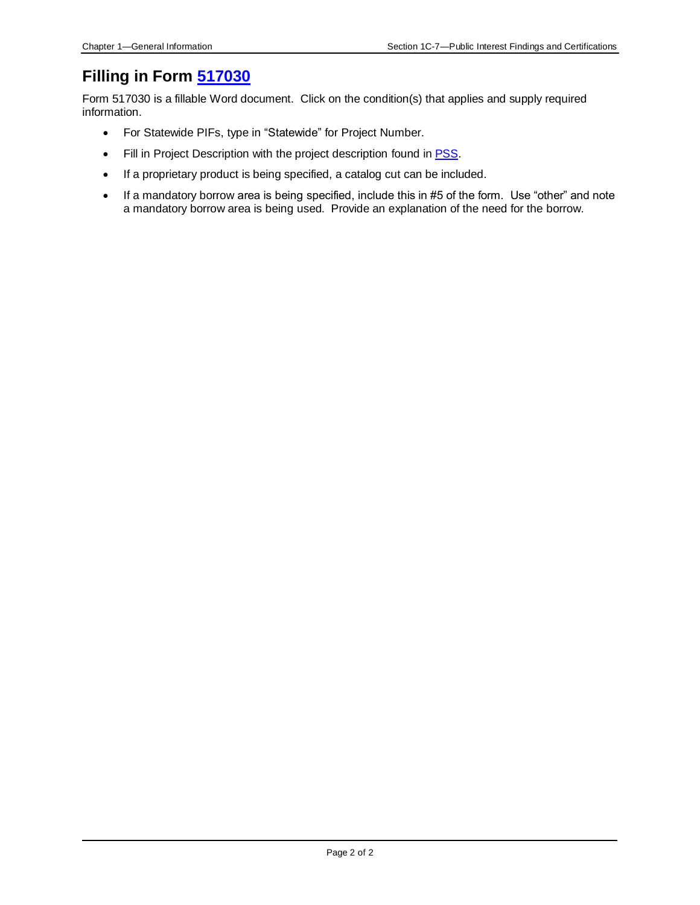### **Filling in Form [517030](https://forms.iowadot.gov/FormsMgt/External/517030.doc)**

Form 517030 is a fillable Word document. Click on the condition(s) that applies and supply required information.

- For Statewide PIFs, type in "Statewide" for Project Number.
- Fill in Project Description with the project description found in **PSS**.
- If a proprietary product is being specified, a catalog cut can be included.
- If a mandatory borrow area is being specified, include this in #5 of the form. Use "other" and note a mandatory borrow area is being used. Provide an explanation of the need for the borrow.